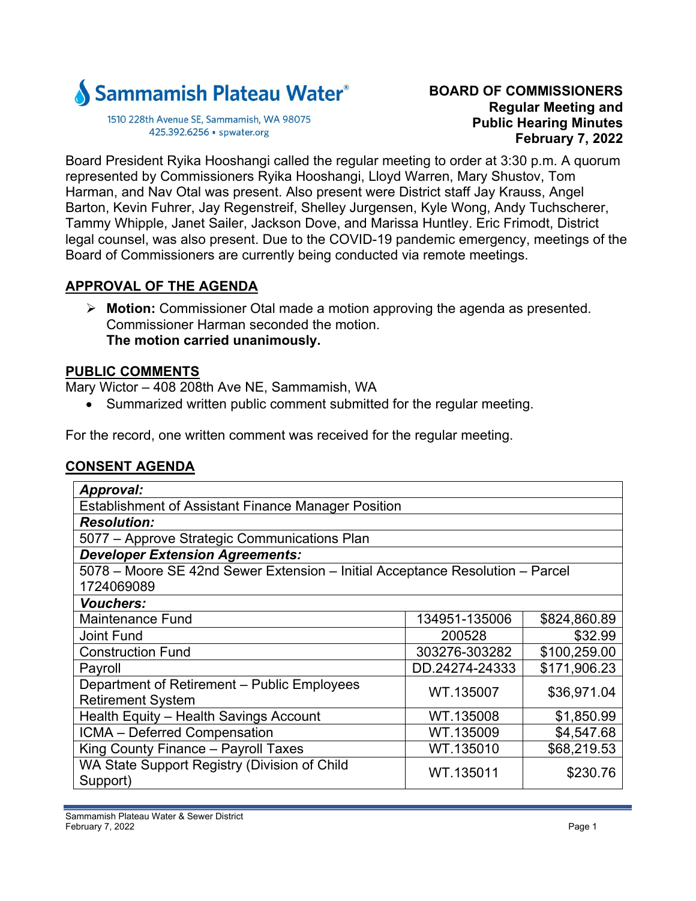

1510 228th Avenue SE, Sammamish, WA 98075 425.392.6256 · spwater.org

### **BOARD OF COMMISSIONERS Regular Meeting and Public Hearing Minutes February 7, 2022**

Board President Ryika Hooshangi called the regular meeting to order at 3:30 p.m. A quorum represented by Commissioners Ryika Hooshangi, Lloyd Warren, Mary Shustov, Tom Harman, and Nav Otal was present. Also present were District staff Jay Krauss, Angel Barton, Kevin Fuhrer, Jay Regenstreif, Shelley Jurgensen, Kyle Wong, Andy Tuchscherer, Tammy Whipple, Janet Sailer, Jackson Dove, and Marissa Huntley. Eric Frimodt, District legal counsel, was also present. Due to the COVID-19 pandemic emergency, meetings of the Board of Commissioners are currently being conducted via remote meetings.

# **APPROVAL OF THE AGENDA**

 **Motion:** Commissioner Otal made a motion approving the agenda as presented. Commissioner Harman seconded the motion. **The motion carried unanimously.** 

#### **PUBLIC COMMENTS**

Mary Wictor – 408 208th Ave NE, Sammamish, WA

• Summarized written public comment submitted for the regular meeting.

For the record, one written comment was received for the regular meeting.

### **CONSENT AGENDA**

| Approval:                                                                     |                |              |  |
|-------------------------------------------------------------------------------|----------------|--------------|--|
| <b>Establishment of Assistant Finance Manager Position</b>                    |                |              |  |
| <b>Resolution:</b>                                                            |                |              |  |
| 5077 - Approve Strategic Communications Plan                                  |                |              |  |
| <b>Developer Extension Agreements:</b>                                        |                |              |  |
| 5078 - Moore SE 42nd Sewer Extension - Initial Acceptance Resolution - Parcel |                |              |  |
| 1724069089                                                                    |                |              |  |
| <b>Vouchers:</b>                                                              |                |              |  |
| <b>Maintenance Fund</b>                                                       | 134951-135006  | \$824,860.89 |  |
| <b>Joint Fund</b>                                                             | 200528         | \$32.99      |  |
| <b>Construction Fund</b>                                                      | 303276-303282  | \$100,259.00 |  |
| Payroll                                                                       | DD.24274-24333 | \$171,906.23 |  |
| Department of Retirement - Public Employees                                   | WT.135007      | \$36,971.04  |  |
| <b>Retirement System</b>                                                      |                |              |  |
| Health Equity - Health Savings Account                                        | WT.135008      | \$1,850.99   |  |
| ICMA - Deferred Compensation                                                  | WT.135009      | \$4,547.68   |  |
| King County Finance - Payroll Taxes                                           | WT.135010      | \$68,219.53  |  |
| WA State Support Registry (Division of Child                                  | WT.135011      | \$230.76     |  |
| Support)                                                                      |                |              |  |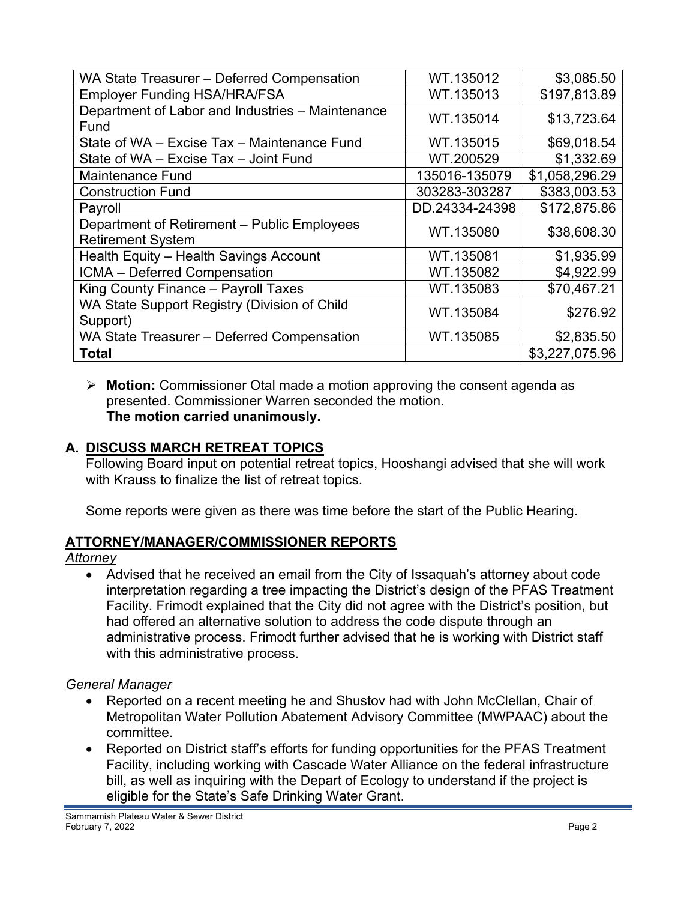| WA State Treasurer - Deferred Compensation       | WT.135012      | \$3,085.50     |
|--------------------------------------------------|----------------|----------------|
| <b>Employer Funding HSA/HRA/FSA</b>              | WT.135013      | \$197,813.89   |
| Department of Labor and Industries - Maintenance | WT.135014      | \$13,723.64    |
| Fund                                             |                |                |
| State of WA - Excise Tax - Maintenance Fund      | WT.135015      | \$69,018.54    |
| State of WA - Excise Tax - Joint Fund            | WT.200529      | \$1,332.69     |
| <b>Maintenance Fund</b>                          | 135016-135079  | \$1,058,296.29 |
| <b>Construction Fund</b>                         | 303283-303287  | \$383,003.53   |
| Payroll                                          | DD.24334-24398 | \$172,875.86   |
| Department of Retirement - Public Employees      | WT.135080      | \$38,608.30    |
| <b>Retirement System</b>                         |                |                |
| Health Equity - Health Savings Account           | WT.135081      | \$1,935.99     |
| ICMA - Deferred Compensation                     | WT.135082      | \$4,922.99     |
| King County Finance - Payroll Taxes              | WT.135083      | \$70,467.21    |
| WA State Support Registry (Division of Child     | WT.135084      | \$276.92       |
| Support)                                         |                |                |
| WA State Treasurer - Deferred Compensation       | WT.135085      | \$2,835.50     |
| <b>Total</b>                                     |                | \$3,227,075.96 |

 **Motion:** Commissioner Otal made a motion approving the consent agenda as presented. Commissioner Warren seconded the motion. **The motion carried unanimously.** 

# **A. DISCUSS MARCH RETREAT TOPICS**

Following Board input on potential retreat topics, Hooshangi advised that she will work with Krauss to finalize the list of retreat topics.

Some reports were given as there was time before the start of the Public Hearing.

# **ATTORNEY/MANAGER/COMMISSIONER REPORTS**

### *Attorney*

 Advised that he received an email from the City of Issaquah's attorney about code interpretation regarding a tree impacting the District's design of the PFAS Treatment Facility. Frimodt explained that the City did not agree with the District's position, but had offered an alternative solution to address the code dispute through an administrative process. Frimodt further advised that he is working with District staff with this administrative process.

# *General Manager*

- Reported on a recent meeting he and Shustov had with John McClellan, Chair of Metropolitan Water Pollution Abatement Advisory Committee (MWPAAC) about the committee.
- Reported on District staff's efforts for funding opportunities for the PFAS Treatment Facility, including working with Cascade Water Alliance on the federal infrastructure bill, as well as inquiring with the Depart of Ecology to understand if the project is eligible for the State's Safe Drinking Water Grant.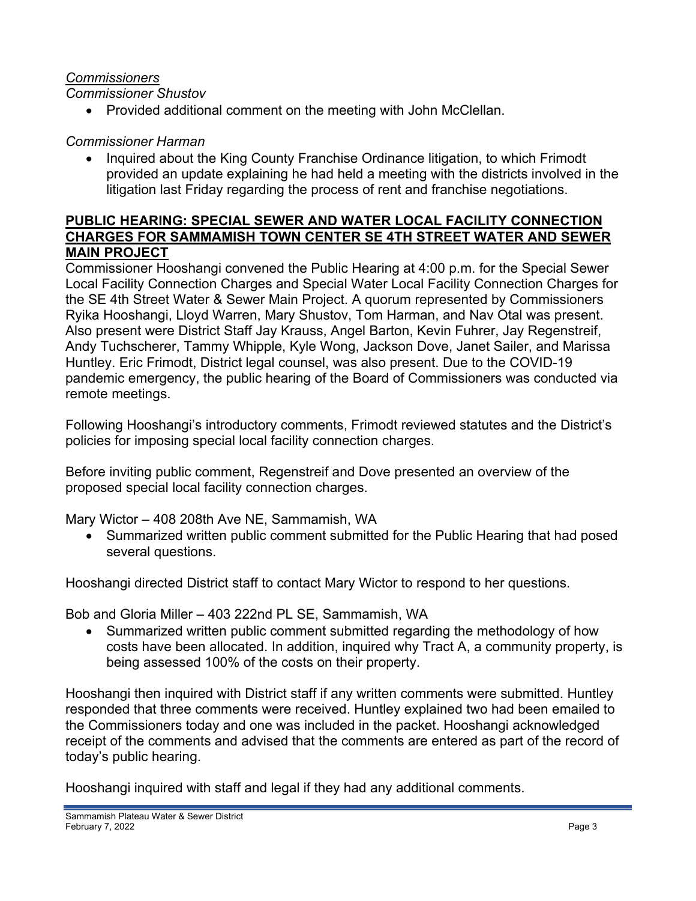## *Commissioners*

*Commissioner Shustov* 

• Provided additional comment on the meeting with John McClellan.

# *Commissioner Harman*

• Inquired about the King County Franchise Ordinance litigation, to which Frimodt provided an update explaining he had held a meeting with the districts involved in the litigation last Friday regarding the process of rent and franchise negotiations.

## **PUBLIC HEARING: SPECIAL SEWER AND WATER LOCAL FACILITY CONNECTION CHARGES FOR SAMMAMISH TOWN CENTER SE 4TH STREET WATER AND SEWER MAIN PROJECT**

Commissioner Hooshangi convened the Public Hearing at 4:00 p.m. for the Special Sewer Local Facility Connection Charges and Special Water Local Facility Connection Charges for the SE 4th Street Water & Sewer Main Project. A quorum represented by Commissioners Ryika Hooshangi, Lloyd Warren, Mary Shustov, Tom Harman, and Nav Otal was present. Also present were District Staff Jay Krauss, Angel Barton, Kevin Fuhrer, Jay Regenstreif, Andy Tuchscherer, Tammy Whipple, Kyle Wong, Jackson Dove, Janet Sailer, and Marissa Huntley. Eric Frimodt, District legal counsel, was also present. Due to the COVID-19 pandemic emergency, the public hearing of the Board of Commissioners was conducted via remote meetings.

Following Hooshangi's introductory comments, Frimodt reviewed statutes and the District's policies for imposing special local facility connection charges.

Before inviting public comment, Regenstreif and Dove presented an overview of the proposed special local facility connection charges.

Mary Wictor – 408 208th Ave NE, Sammamish, WA

 Summarized written public comment submitted for the Public Hearing that had posed several questions.

Hooshangi directed District staff to contact Mary Wictor to respond to her questions.

Bob and Gloria Miller – 403 222nd PL SE, Sammamish, WA

 Summarized written public comment submitted regarding the methodology of how costs have been allocated. In addition, inquired why Tract A, a community property, is being assessed 100% of the costs on their property.

Hooshangi then inquired with District staff if any written comments were submitted. Huntley responded that three comments were received. Huntley explained two had been emailed to the Commissioners today and one was included in the packet. Hooshangi acknowledged receipt of the comments and advised that the comments are entered as part of the record of today's public hearing.

Hooshangi inquired with staff and legal if they had any additional comments.